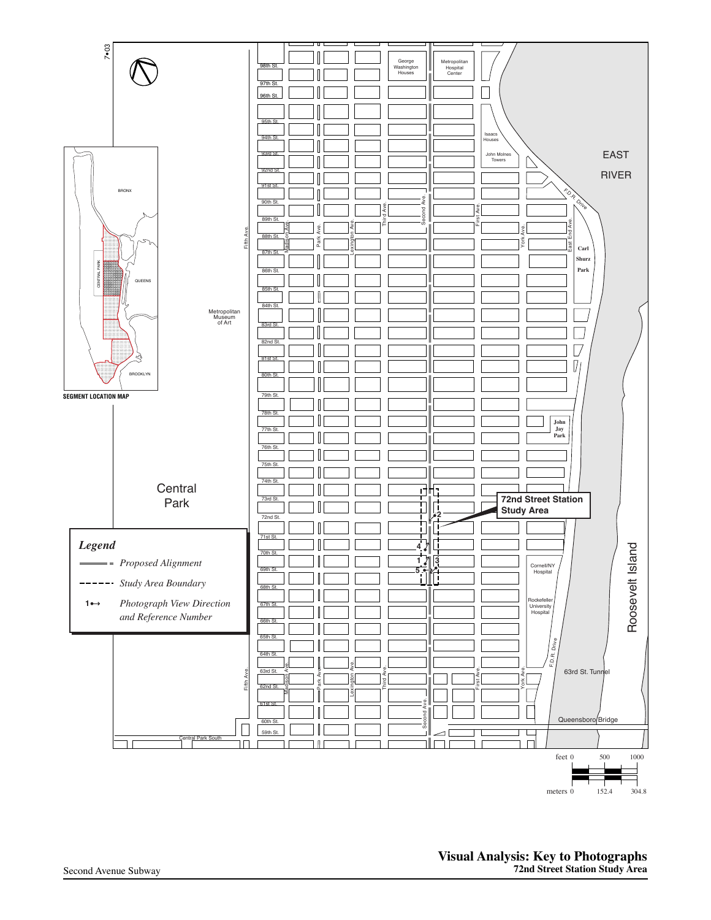

**Visual Analysis: Key to Photographs 72nd Street Station Study Area**